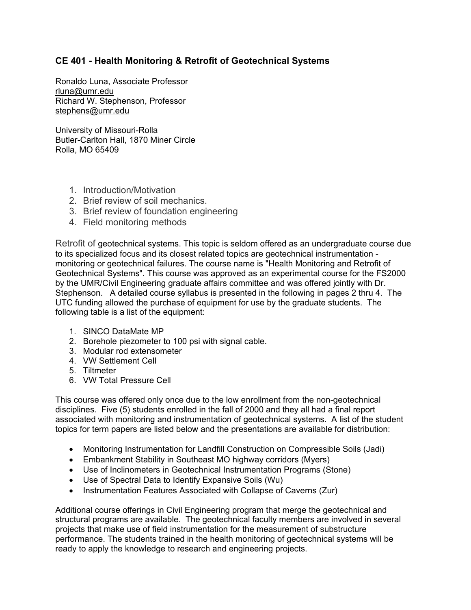## **CE 401 - Health Monitoring & Retrofit of Geotechnical Systems**

Ronaldo Luna, Associate Professor rluna@umr.edu Richard W. Stephenson, Professor stephens@umr.edu

University of Missouri-Rolla Butler-Carlton Hall, 1870 Miner Circle Rolla, MO 65409

- 1. Introduction/Motivation
- 2. Brief review of soil mechanics.
- 3. Brief review of foundation engineering
- 4. Field monitoring methods

Retrofit of geotechnical systems. This topic is seldom offered as an undergraduate course due to its specialized focus and its closest related topics are geotechnical instrumentation monitoring or geotechnical failures. The course name is "Health Monitoring and Retrofit of Geotechnical Systems". This course was approved as an experimental course for the FS2000 by the UMR/Civil Engineering graduate affairs committee and was offered jointly with Dr. Stephenson. A detailed course syllabus is presented in the following in pages 2 thru 4. The UTC funding allowed the purchase of equipment for use by the graduate students. The following table is a list of the equipment:

- 1. SINCO DataMate MP
- 2. Borehole piezometer to 100 psi with signal cable.
- 3. Modular rod extensometer
- 4. VW Settlement Cell
- 5. Tiltmeter
- 6. VW Total Pressure Cell

This course was offered only once due to the low enrollment from the non-geotechnical disciplines. Five (5) students enrolled in the fall of 2000 and they all had a final report associated with monitoring and instrumentation of geotechnical systems. A list of the student topics for term papers are listed below and the presentations are available for distribution:

- Monitoring Instrumentation for Landfill Construction on Compressible Soils (Jadi)
- Embankment Stability in Southeast MO highway corridors (Myers)
- Use of Inclinometers in Geotechnical Instrumentation Programs (Stone)
- Use of Spectral Data to Identify Expansive Soils (Wu)
- Instrumentation Features Associated with Collapse of Caverns (Zur)

Additional course offerings in Civil Engineering program that merge the geotechnical and structural programs are available. The geotechnical faculty members are involved in several projects that make use of field instrumentation for the measurement of substructure performance. The students trained in the health monitoring of geotechnical systems will be ready to apply the knowledge to research and engineering projects.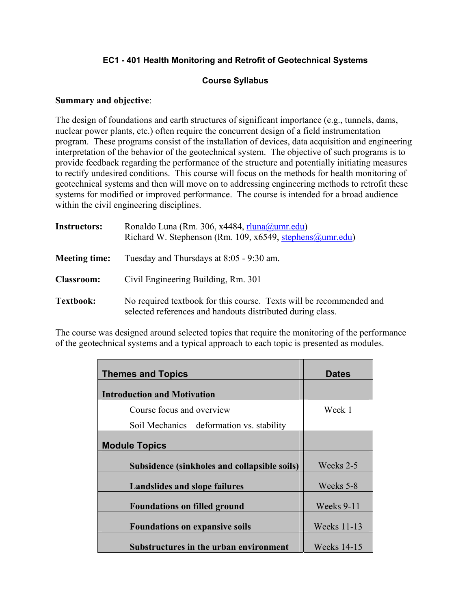### **EC1 - 401 Health Monitoring and Retrofit of Geotechnical Systems**

### **Course Syllabus**

#### **Summary and objective**:

The design of foundations and earth structures of significant importance (e.g., tunnels, dams, nuclear power plants, etc.) often require the concurrent design of a field instrumentation program. These programs consist of the installation of devices, data acquisition and engineering interpretation of the behavior of the geotechnical system. The objective of such programs is to provide feedback regarding the performance of the structure and potentially initiating measures to rectify undesired conditions. This course will focus on the methods for health monitoring of geotechnical systems and then will move on to addressing engineering methods to retrofit these systems for modified or improved performance. The course is intended for a broad audience within the civil engineering disciplines.

| <b>Instructors:</b>  | Ronaldo Luna (Rm. 306, x4484, rluna@umr.edu)<br>Richard W. Stephenson (Rm. 109, x6549, stephens@umr.edu)                          |
|----------------------|-----------------------------------------------------------------------------------------------------------------------------------|
| <b>Meeting time:</b> | Tuesday and Thursdays at 8:05 - 9:30 am.                                                                                          |
| <b>Classroom:</b>    | Civil Engineering Building, Rm. 301                                                                                               |
| <b>Textbook:</b>     | No required textbook for this course. Texts will be recommended and<br>selected references and handouts distributed during class. |

The course was designed around selected topics that require the monitoring of the performance of the geotechnical systems and a typical approach to each topic is presented as modules.

| <b>Themes and Topics</b>                     | <b>Dates</b>       |
|----------------------------------------------|--------------------|
| <b>Introduction and Motivation</b>           |                    |
| Course focus and overview                    | Week 1             |
| Soil Mechanics – deformation vs. stability   |                    |
| <b>Module Topics</b>                         |                    |
| Subsidence (sinkholes and collapsible soils) | Weeks 2-5          |
| <b>Landslides and slope failures</b>         | Weeks 5-8          |
| <b>Foundations on filled ground</b>          | Weeks 9-11         |
| <b>Foundations on expansive soils</b>        | <b>Weeks 11-13</b> |
| Substructures in the urban environment       | <b>Weeks</b> 14-15 |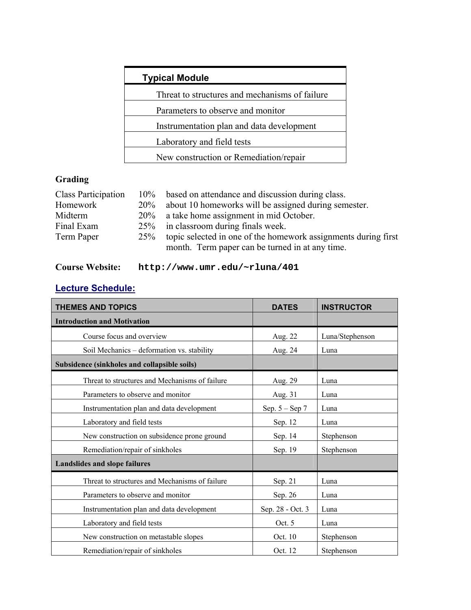| <b>Typical Module</b>                          |  |  |
|------------------------------------------------|--|--|
| Threat to structures and mechanisms of failure |  |  |
| Parameters to observe and monitor              |  |  |
| Instrumentation plan and data development      |  |  |
| Laboratory and field tests                     |  |  |
| New construction or Remediation/repair         |  |  |

# **Grading**

| <b>Class Participation</b> |        | 10% based on attendance and discussion during class.           |
|----------------------------|--------|----------------------------------------------------------------|
| Homework                   | $20\%$ | about 10 homeworks will be assigned during semester.           |
| Midterm                    |        | 20% a take home assignment in mid October.                     |
| Final Exam                 |        | 25% in classroom during finals week.                           |
| Term Paper                 | 25%    | topic selected in one of the homework assignments during first |
|                            |        | month. Term paper can be turned in at any time.                |

# **Course Website: http://www.umr.edu/~rluna/401**

## **Lecture Schedule:**

| <b>THEMES AND TOPICS</b>                       | <b>DATES</b>       | <b>INSTRUCTOR</b> |
|------------------------------------------------|--------------------|-------------------|
| <b>Introduction and Motivation</b>             |                    |                   |
| Course focus and overview                      | Aug. 22            | Luna/Stephenson   |
| Soil Mechanics – deformation vs. stability     | Aug. 24            | Luna              |
| Subsidence (sinkholes and collapsible soils)   |                    |                   |
| Threat to structures and Mechanisms of failure | Aug. 29            | Luna              |
| Parameters to observe and monitor              | Aug. 31            | Luna              |
| Instrumentation plan and data development      | Sep. $5 -$ Sep $7$ | Luna              |
| Laboratory and field tests                     | Sep. 12            | Luna              |
| New construction on subsidence prone ground    | Sep. 14            | Stephenson        |
| Remediation/repair of sinkholes                | Sep. 19            | Stephenson        |
| Landslides and slope failures                  |                    |                   |
| Threat to structures and Mechanisms of failure | Sep. 21            | Luna              |
| Parameters to observe and monitor              | Sep. 26            | Luna              |
| Instrumentation plan and data development      | Sep. 28 - Oct. 3   | Luna              |
| Laboratory and field tests                     | Oct. $5$           | Luna              |
| New construction on metastable slopes          | Oct. 10            | Stephenson        |
| Remediation/repair of sinkholes                | Oct. 12            | Stephenson        |